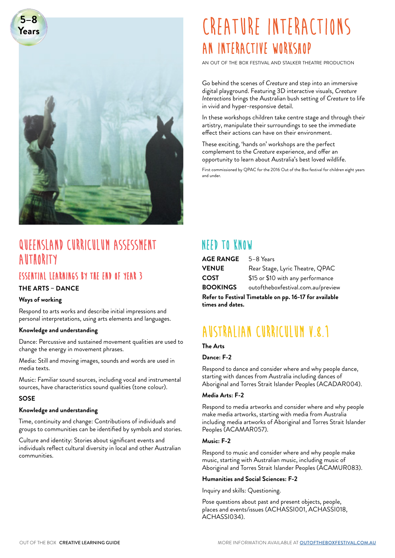

# QUEENSLAND CURRICULUM ASSESSMENT **AUTHORITY**

# ESSENTIAL LEARNINGS BY THE END OF YEAR 3

## **THE ARTS – DANCE**

### **Ways of working**

Respond to arts works and describe initial impressions and personal interpretations, using arts elements and languages.

#### **Knowledge and understanding**

Dance: Percussive and sustained movement qualities are used to change the energy in movement phrases.

Media: Still and moving images, sounds and words are used in media texts.

Music: Familiar sound sources, including vocal and instrumental sources, have characteristics sound qualities (tone colour).

#### **SOSE**

#### **Knowledge and understanding**

Time, continuity and change: Contributions of individuals and groups to communities can be identified by symbols and stories.

Culture and identity: Stories about significant events and individuals reflect cultural diversity in local and other Australian communities.

# CREATURE INTERACTIONS An Interactive Workshop

an out of the box festival and stalker theatre production

Go behind the scenes of *Creature* and step into an immersive digital playground. Featuring 3D interactive visuals, *Creature Interactions* brings the Australian bush setting of *Creature* to life in vivid and hyper-responsive detail.

In these workshops children take centre stage and through their artistry, manipulate their surroundings to see the immediate effect their actions can have on their environment.

These exciting, 'hands on' workshops are the perfect complement to the *Creature* experience, and offer an opportunity to learn about Australia's best loved wildlife.

First commissioned by QPAC for the 2016 Out of the Box festival for children eight years and under.

# **NFFD TO KNOW**

| Refer to Festival Timetable on pp. 16-17 for available<br>times and dates. |                                    |
|----------------------------------------------------------------------------|------------------------------------|
| <b>BOOKINGS</b>                                                            | outoftheboxfestival.com.au/preview |
| <b>COST</b>                                                                | \$15 or \$10 with any performance  |
| <b>VENUE</b>                                                               | Rear Stage, Lyric Theatre, QPAC    |
| <b>AGE RANGE</b>                                                           | 5-8 Years                          |

# AUSTRALIAN CURRICULUM V & 1

### **The Arts**

### **Dance: F-2**

Respond to dance and consider where and why people dance, starting with dances from Australia including dances of Aboriginal and Torres Strait Islander Peoples (ACADAR004).

#### **Media Arts: F-2**

Respond to media artworks and consider where and why people make media artworks, starting with media from Australia including media artworks of Aboriginal and Torres Strait Islander Peoples (ACAMAR057).

#### **Music: F-2**

Respond to music and consider where and why people make music, starting with Australian music, including music of Aboriginal and Torres Strait Islander Peoples (ACAMUR083).

#### **Humanities and Social Sciences: F-2**

Inquiry and skills: Questioning.

Pose questions about past and present objects, people, places and events/issues (ACHASSI001, ACHASSI018, ACHASSI034).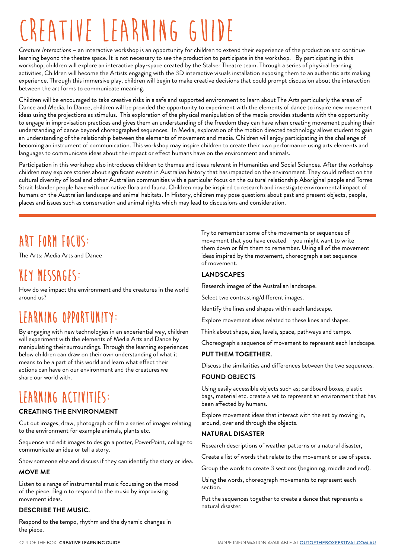# CREATIVE LEARNING GUIDE

*Creature Interactions* – an interactive workshop is an opportunity for children to extend their experience of the production and continue learning beyond the theatre space. It is not necessary to see the production to participate in the workshop. By participating in this workshop, children will explore an interactive play-space created by the Stalker Theatre team. Through a series of physical learning activities, Children will become the Artists engaging with the 3D interactive visuals installation exposing them to an authentic arts making experience. Through this immersive play, children will begin to make creative decisions that could prompt discussion about the interaction between the art forms to communicate meaning.

Children will be encouraged to take creative risks in a safe and supported environment to learn about The Arts particularly the areas of Dance and Media. In Dance, children will be provided the opportunity to experiment with the elements of dance to inspire new movement ideas using the projections as stimulus. This exploration of the physical manipulation of the media provides students with the opportunity to engage in improvisation practices and gives them an understanding of the freedom they can have when creating movement pushing their understanding of dance beyond choreographed sequences. In Media, exploration of the motion directed technology allows student to gain an understanding of the relationship between the elements of movement and media. Children will enjoy participating in the challenge of becoming an instrument of communication. This workshop may inspire children to create their own performance using arts elements and languages to communicate ideas about the impact or effect humans have on the environment and animals.

Participation in this workshop also introduces children to themes and ideas relevant in Humanities and Social Sciences. After the workshop children may explore stories about significant events in Australian history that has impacted on the environment. They could reflect on the cultural diversity of local and other Australian communities with a particular focus on the cultural relationship Aboriginal people and Torres Strait Islander people have with our native flora and fauna. Children may be inspired to research and investigate environmental impact of humans on the Australian landscape and animal habitats. In History, children may pose questions about past and present objects, people, places and issues such as conservation and animal rights which may lead to discussions and consideration.

# ART FORM FOCUS:

The Arts: Media Arts and Dance

# KEY MESSAGES:

How do we impact the environment and the creatures in the world around us?

# LEARNING OPPORTUNITY:

By engaging with new technologies in an experiential way, children will experiment with the elements of Media Arts and Dance by manipulating their surroundings. Through the learning experiences below children can draw on their own understanding of what it means to be a part of this world and learn what effect their actions can have on our environment and the creatures we share our world with.

# LEARNING ACTIVITIES:

### **CREATING THE ENVIRONMENT**

Cut out images, draw, photograph or film a series of images relating to the environment for example animals, plants etc.

Sequence and edit images to design a poster, PowerPoint, collage to communicate an idea or tell a story.

Show someone else and discuss if they can identify the story or idea.

### **MOVE ME**

Listen to a range of instrumental music focussing on the mood of the piece. Begin to respond to the music by improvising movement ideas.

### **DESCRIBE THE MUSIC.**

Respond to the tempo, rhythm and the dynamic changes in the piece.

Try to remember some of the movements or sequences of movement that you have created – you might want to write them down or film them to remember. Using all of the movement ideas inspired by the movement, choreograph a set sequence of movement.

### **LANDSCAPES**

Research images of the Australian landscape.

Select two contrasting/different images.

Identify the lines and shapes within each landscape.

Explore movement ideas related to these lines and shapes.

Think about shape, size, levels, space, pathways and tempo.

Choreograph a sequence of movement to represent each landscape.

### **PUT THEM TOGETHER.**

Discuss the similarities and differences between the two sequences.

#### **FOUND OBJECTS**

Using easily accessible objects such as; cardboard boxes, plastic bags, material etc. create a set to represent an environment that has been affected by humans.

Explore movement ideas that interact with the set by moving in, around, over and through the objects.

#### **NATURAL DISASTER**

Research descriptions of weather patterns or a natural disaster,

Create a list of words that relate to the movement or use of space.

Group the words to create 3 sections (beginning, middle and end).

Using the words, choreograph movements to represent each section.

Put the sequences together to create a dance that represents a natural disaster.